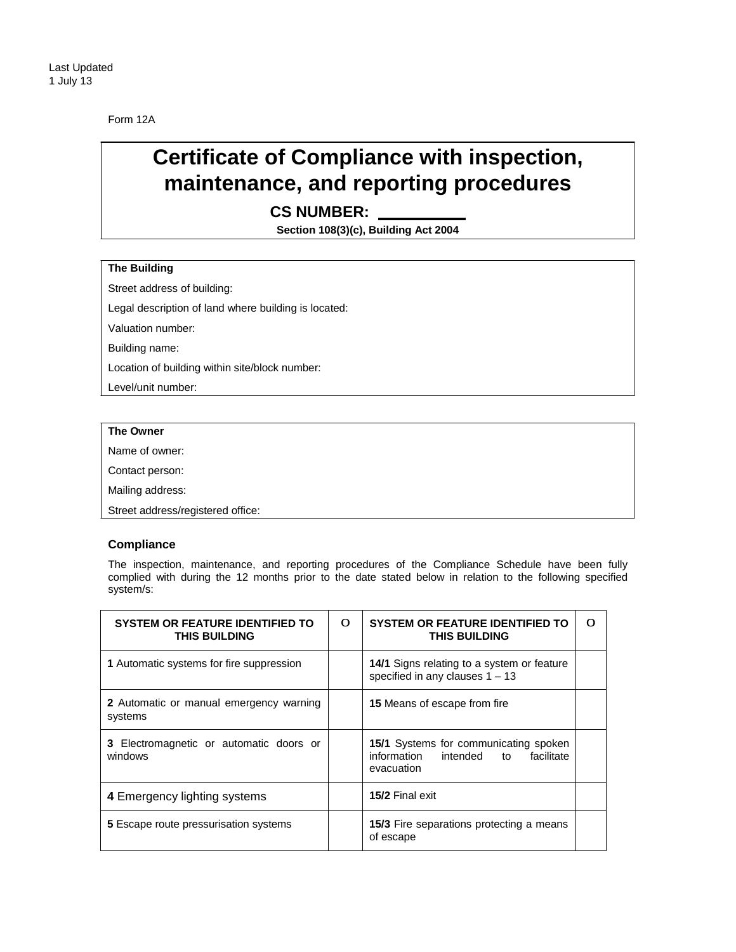Form 12A

## **Certificate of Compliance with inspection, maintenance, and reporting procedures**

**CS NUMBER:** 

**Section 108(3)(c), Building Act 2004**

## **The Building**

Street address of building:

Legal description of land where building is located:

Valuation number:

Building name:

Location of building within site/block number:

Level/unit number:

## **The Owner**

Name of owner:

Contact person:

Mailing address:

Street address/registered office:

## **Compliance**

The inspection, maintenance, and reporting procedures of the Compliance Schedule have been fully complied with during the 12 months prior to the date stated below in relation to the following specified system/s:

| <b>SYSTEM OR FEATURE IDENTIFIED TO</b><br><b>THIS BUILDING</b> | О | <b>SYSTEM OR FEATURE IDENTIFIED TO</b><br><b>THIS BUILDING</b>                               | 0 |
|----------------------------------------------------------------|---|----------------------------------------------------------------------------------------------|---|
| 1 Automatic systems for fire suppression                       |   | 14/1 Signs relating to a system or feature<br>specified in any clauses $1 - 13$              |   |
| <b>2</b> Automatic or manual emergency warning<br>systems      |   | <b>15</b> Means of escape from fire                                                          |   |
| <b>3</b> Electromagnetic or automatic doors or<br>windows      |   | 15/1 Systems for communicating spoken<br>information intended to<br>facilitate<br>evacuation |   |
| 4 Emergency lighting systems                                   |   | 15/2 Final exit                                                                              |   |
| <b>5</b> Escape route pressurisation systems                   |   | <b>15/3</b> Fire separations protecting a means<br>of escape                                 |   |